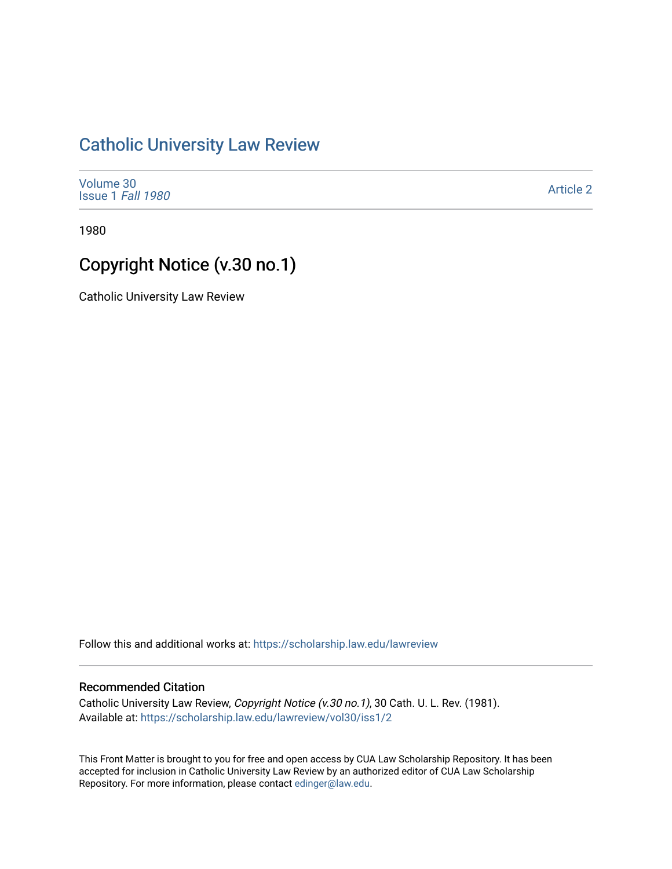## [Catholic University Law Review](https://scholarship.law.edu/lawreview)

| Volume 30                |  |
|--------------------------|--|
| <b>Issue 1 Fall 1980</b> |  |

[Article 2](https://scholarship.law.edu/lawreview/vol30/iss1/2) 

1980

# Copyright Notice (v.30 no.1)

Catholic University Law Review

Follow this and additional works at: [https://scholarship.law.edu/lawreview](https://scholarship.law.edu/lawreview?utm_source=scholarship.law.edu%2Flawreview%2Fvol30%2Fiss1%2F2&utm_medium=PDF&utm_campaign=PDFCoverPages)

#### Recommended Citation

Catholic University Law Review, Copyright Notice (v.30 no.1), 30 Cath. U. L. Rev. (1981). Available at: [https://scholarship.law.edu/lawreview/vol30/iss1/2](https://scholarship.law.edu/lawreview/vol30/iss1/2?utm_source=scholarship.law.edu%2Flawreview%2Fvol30%2Fiss1%2F2&utm_medium=PDF&utm_campaign=PDFCoverPages)

This Front Matter is brought to you for free and open access by CUA Law Scholarship Repository. It has been accepted for inclusion in Catholic University Law Review by an authorized editor of CUA Law Scholarship Repository. For more information, please contact [edinger@law.edu.](mailto:edinger@law.edu)